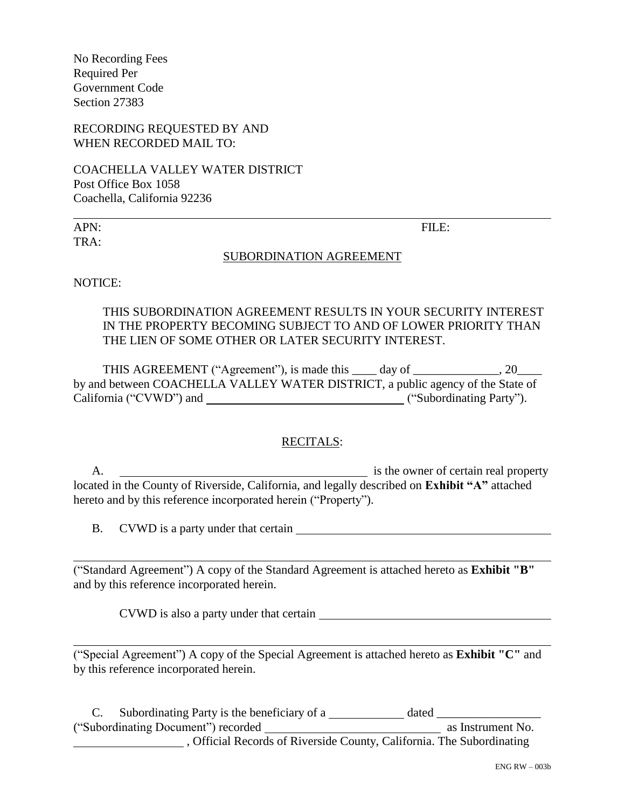No Recording Fees Required Per Government Code Section 27383

RECORDING REQUESTED BY AND WHEN RECORDED MAIL TO:

COACHELLA VALLEY WATER DISTRICT Post Office Box 1058 Coachella, California 92236

TRA:

APN: FILE:

#### SUBORDINATION AGREEMENT

NOTICE:

THIS SUBORDINATION AGREEMENT RESULTS IN YOUR SECURITY INTEREST IN THE PROPERTY BECOMING SUBJECT TO AND OF LOWER PRIORITY THAN THE LIEN OF SOME OTHER OR LATER SECURITY INTEREST.

THIS AGREEMENT ("Agreement"), is made this \_\_\_\_ day of \_\_\_\_\_\_\_\_\_\_\_\_\_, 20\_\_\_\_ by and between COACHELLA VALLEY WATER DISTRICT, a public agency of the State of California ("CVWD") and ("Subordinating Party").

#### RECITALS:

A. is the owner of certain real property located in the County of Riverside, California, and legally described on **Exhibit "A"** attached hereto and by this reference incorporated herein ("Property").

B. CVWD is a party under that certain

("Standard Agreement") A copy of the Standard Agreement is attached hereto as **Exhibit "B"** and by this reference incorporated herein.

CVWD is also a party under that certain

("Special Agreement") A copy of the Special Agreement is attached hereto as **Exhibit "C"** and by this reference incorporated herein.

C. Subordinating Party is the beneficiary of a  $\frac{d}{dx}$  dated  $\frac{d}{dx}$  as Instrument No. ("Subordinating Document") recorded  $\overline{\phantom{a}}$ , Official Records of Riverside County, California. The Subordinating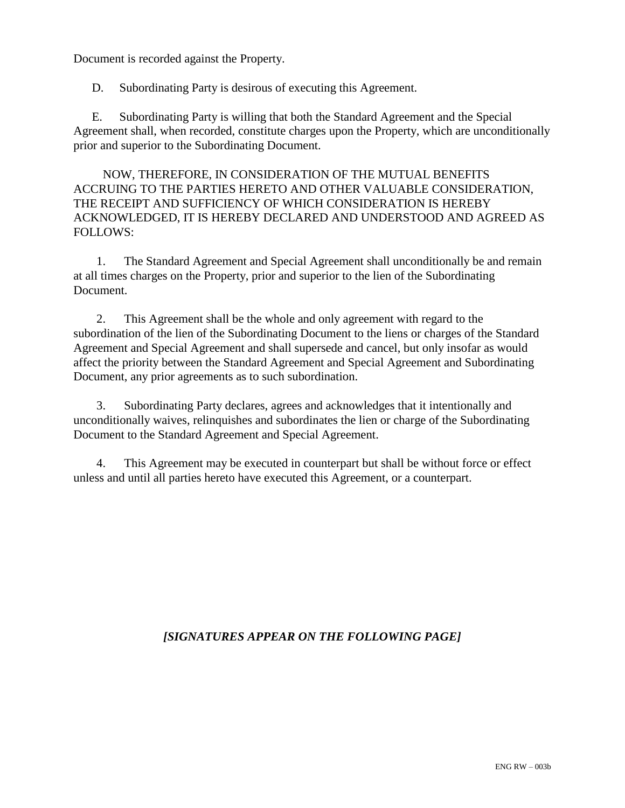Document is recorded against the Property.

D. Subordinating Party is desirous of executing this Agreement.

E. Subordinating Party is willing that both the Standard Agreement and the Special Agreement shall, when recorded, constitute charges upon the Property, which are unconditionally prior and superior to the Subordinating Document.

NOW, THEREFORE, IN CONSIDERATION OF THE MUTUAL BENEFITS ACCRUING TO THE PARTIES HERETO AND OTHER VALUABLE CONSIDERATION, THE RECEIPT AND SUFFICIENCY OF WHICH CONSIDERATION IS HEREBY ACKNOWLEDGED, IT IS HEREBY DECLARED AND UNDERSTOOD AND AGREED AS FOLLOWS:

1. The Standard Agreement and Special Agreement shall unconditionally be and remain at all times charges on the Property, prior and superior to the lien of the Subordinating Document.

2. This Agreement shall be the whole and only agreement with regard to the subordination of the lien of the Subordinating Document to the liens or charges of the Standard Agreement and Special Agreement and shall supersede and cancel, but only insofar as would affect the priority between the Standard Agreement and Special Agreement and Subordinating Document, any prior agreements as to such subordination.

3. Subordinating Party declares, agrees and acknowledges that it intentionally and unconditionally waives, relinquishes and subordinates the lien or charge of the Subordinating Document to the Standard Agreement and Special Agreement.

4. This Agreement may be executed in counterpart but shall be without force or effect unless and until all parties hereto have executed this Agreement, or a counterpart.

### *[SIGNATURES APPEAR ON THE FOLLOWING PAGE]*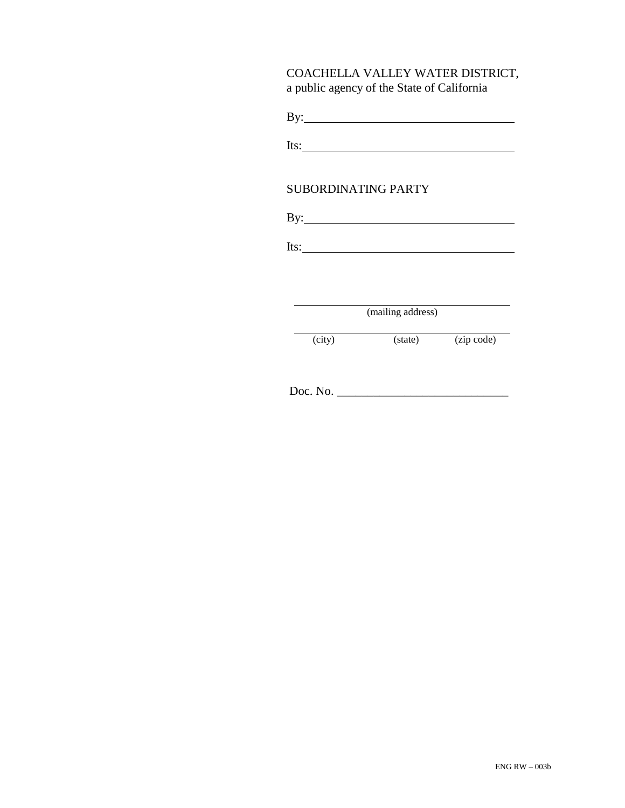### COACHELLA VALLEY WATER DISTRICT, a public agency of the State of California

Its: <u>and the set of the set of the set of the set of the set of the set of the set of the set of the set of the set of the set of the set of the set of the set of the set of the set of the set of the set of the set of the</u>

### SUBORDINATING PARTY

By:

Its: The Commission of the Commission of the Commission of the Commission of the Commission of the Commission of the Commission of the Commission of the Commission of the Commission of the Commission of the Commission of t

(mailing address)

(city) (state) (zip code)

Doc. No. \_\_\_\_\_\_\_\_\_\_\_\_\_\_\_\_\_\_\_\_\_\_\_\_\_\_\_\_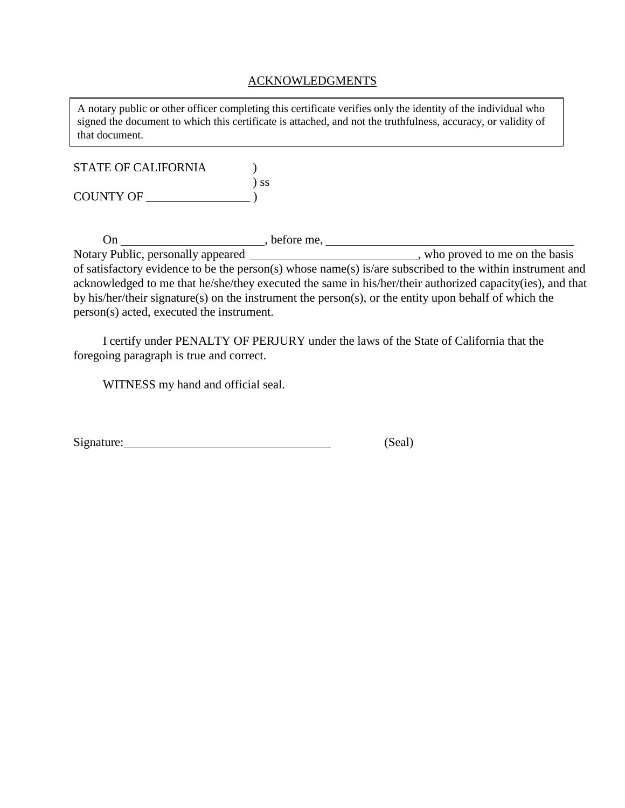#### ACKNOWLEDGMENTS

A notary public or other officer completing this certificate verifies only the identity of the individual who signed the document to which this certificate is attached, and not the truthfulness, accuracy, or validity of that document.

| <b>STATE OF CALIFORNIA</b> |           |
|----------------------------|-----------|
|                            | $\sum$ SS |
| <b>COUNTY OF</b>           |           |

On \_\_\_\_\_\_\_\_\_\_\_\_\_\_\_\_\_\_\_\_\_\_\_\_\_\_, before me, Notary Public, personally appeared \_\_\_\_\_\_\_\_\_\_\_\_\_\_\_\_\_\_\_\_\_\_\_\_\_\_\_\_\_\_, who proved to me on the basis of satisfactory evidence to be the person(s) whose name(s) is/are subscribed to the within instrument and acknowledged to me that he/she/they executed the same in his/her/their authorized capacity(ies), and that by his/her/their signature(s) on the instrument the person(s), or the entity upon behalf of which the person(s) acted, executed the instrument.

I certify under PENALTY OF PERJURY under the laws of the State of California that the foregoing paragraph is true and correct.

WITNESS my hand and official seal.

| Signature: | (Seal) |
|------------|--------|
|            |        |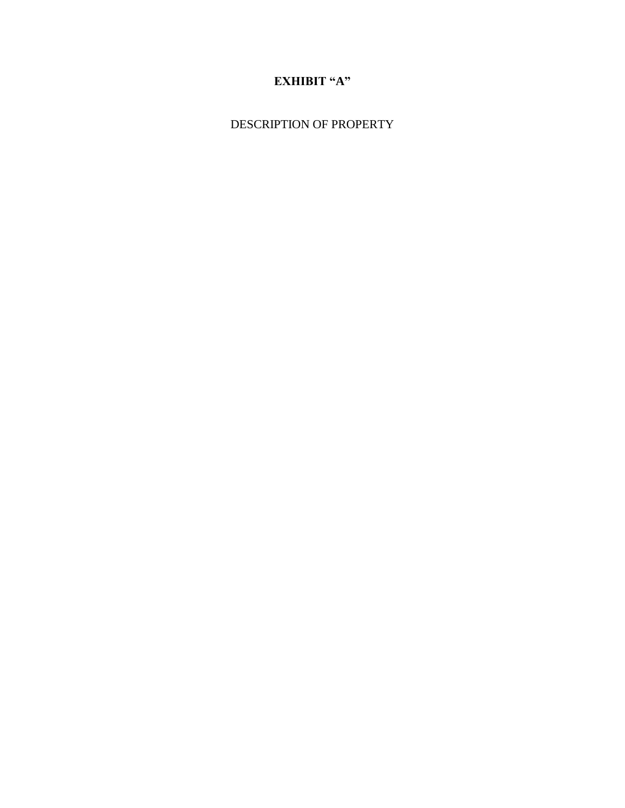# **EXHIBIT "A"**

DESCRIPTION OF PROPERTY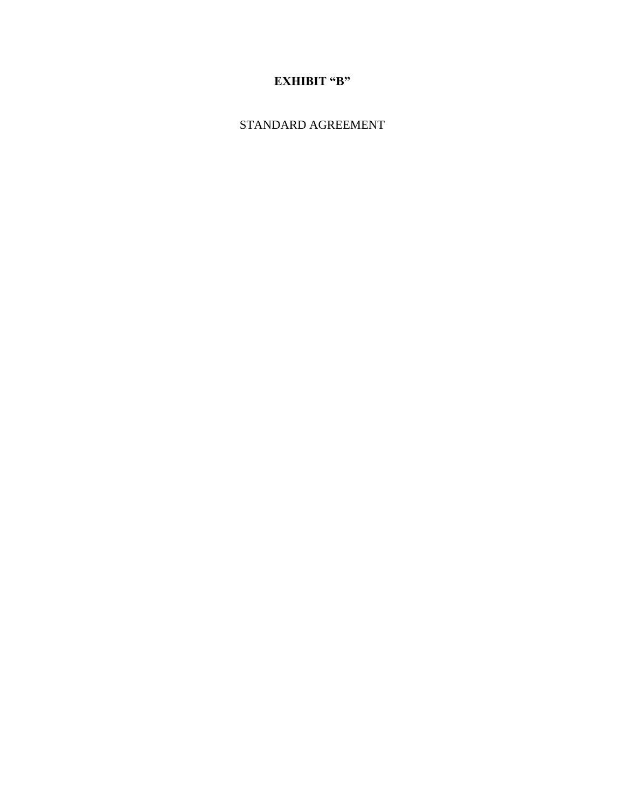# **EXHIBIT "B"**

STANDARD AGREEMENT